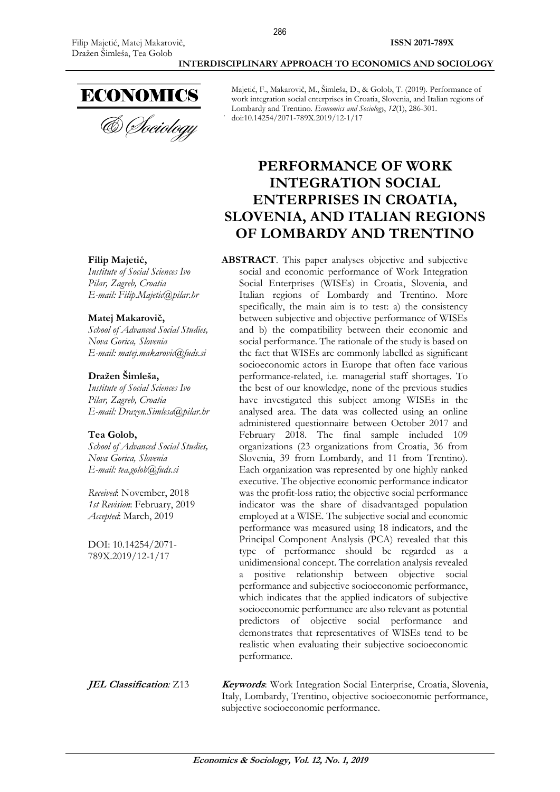

Majetić, F., Makarovič, M., Šimleša, D., & Golob, T. (2019). Performance of work integration social enterprises in Croatia, Slovenia, and Italian regions of Lombardy and Trentino. *Economics and Sociology*, *12*(1), 286-301. doi:10.14254/2071-789X.2019/12-1/17

# **PERFORMANCE OF WORK INTEGRATION SOCIAL ENTERPRISES IN CROATIA, SLOVENIA, AND ITALIAN REGIONS OF LOMBARDY AND TRENTINO**

**ABSTRACT**. This paper analyses objective and subjective social and economic performance of Work Integration Social Enterprises (WISEs) in Croatia, Slovenia, and Italian regions of Lombardy and Trentino. More specifically, the main aim is to test: a) the consistency between subjective and objective performance of WISEs and b) the compatibility between their economic and social performance. The rationale of the study is based on the fact that WISEs are commonly labelled as significant socioeconomic actors in Europe that often face various performance-related, i.e. managerial staff shortages. To the best of our knowledge, none of the previous studies have investigated this subject among WISEs in the analysed area. The data was collected using an online administered questionnaire between October 2017 and February 2018. The final sample included 109 organizations (23 organizations from Croatia, 36 from Slovenia, 39 from Lombardy, and 11 from Trentino). Each organization was represented by one highly ranked executive. The objective economic performance indicator was the profit-loss ratio; the objective social performance indicator was the share of disadvantaged population employed at a WISE. The subjective social and economic performance was measured using 18 indicators, and the Principal Component Analysis (PCA) revealed that this type of performance should be regarded as a unidimensional concept. The correlation analysis revealed a positive relationship between objective social performance and subjective socioeconomic performance, which indicates that the applied indicators of subjective socioeconomic performance are also relevant as potential predictors of objective social performance and demonstrates that representatives of WISEs tend to be realistic when evaluating their subjective socioeconomic performance.

**JEL Classification**: Z13 **Keywords**: Work Integration Social Enterprise, Croatia, Slovenia, Italy, Lombardy, Trentino, objective socioeconomic performance, subjective socioeconomic performance.

#### **Filip Majetić,**

*Institute of Social Sciences Ivo Pilar, Zagreb, Croatia E-mail: Filip.Majetic@pilar.hr*

#### **Matej Makarovič,**

*School of Advanced Social Studies, Nova Gorica, Slovenia E-mail: matej.makarovic@fuds.si*

#### **Dražen Šimleša,**

*Institute of Social Sciences Ivo Pilar, Zagreb, Croatia E-mail: Drazen.Simlesa@pilar.hr*

#### **Tea Golob,**

*School of Advanced Social Studies, Nova Gorica, Slovenia E-mail: tea.golob@fuds.si*

*Received*: November, 2018 *1st Revision*: February, 2019 *Accepted*: March, 2019

DOI: 10.14254/2071- 789X.2019/12-1/17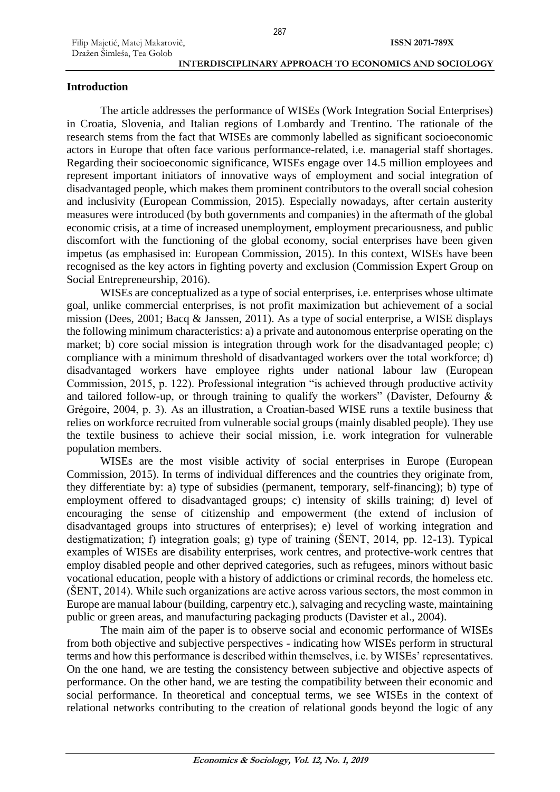# **Introduction**

The article addresses the performance of WISEs (Work Integration Social Enterprises) in Croatia, Slovenia, and Italian regions of Lombardy and Trentino. The rationale of the research stems from the fact that WISEs are commonly labelled as significant socioeconomic actors in Europe that often face various performance-related, i.e. managerial staff shortages. Regarding their socioeconomic significance, WISEs engage over 14.5 million employees and represent important initiators of innovative ways of employment and social integration of disadvantaged people, which makes them prominent contributors to the overall social cohesion and inclusivity (European Commission, 2015). Especially nowadays, after certain austerity measures were introduced (by both governments and companies) in the aftermath of the global economic crisis, at a time of increased unemployment, employment precariousness, and public discomfort with the functioning of the global economy, social enterprises have been given impetus (as emphasised in: European Commission, 2015). In this context, WISEs have been recognised as the key actors in fighting poverty and exclusion (Commission Expert Group on Social Entrepreneurship, 2016).

WISEs are conceptualized as a type of social enterprises, i.e. enterprises whose ultimate goal, unlike commercial enterprises, is not profit maximization but achievement of a social mission (Dees, 2001; Bacq & Janssen, 2011). As a type of social enterprise, a WISE displays the following minimum characteristics: a) a private and autonomous enterprise operating on the market; b) core social mission is integration through work for the disadvantaged people; c) compliance with a minimum threshold of disadvantaged workers over the total workforce; d) disadvantaged workers have employee rights under national labour law (European Commission, 2015, p. 122). Professional integration "is achieved through productive activity and tailored follow-up, or through training to qualify the workers" (Davister, Defourny & Grégoire, 2004, p. 3). As an illustration, a Croatian-based WISE runs a textile business that relies on workforce recruited from vulnerable social groups (mainly disabled people). They use the textile business to achieve their social mission, i.e. work integration for vulnerable population members.

WISEs are the most visible activity of social enterprises in Europe (European Commission, 2015). In terms of individual differences and the countries they originate from, they differentiate by: a) type of subsidies (permanent, temporary, self-financing); b) type of employment offered to disadvantaged groups; c) intensity of skills training; d) level of encouraging the sense of citizenship and empowerment (the extend of inclusion of disadvantaged groups into structures of enterprises); e) level of working integration and destigmatization; f) integration goals; g) type of training (ŠENT, 2014, pp. 12-13). Typical examples of WISEs are disability enterprises, work centres, and protective-work centres that employ disabled people and other deprived categories, such as refugees, minors without basic vocational education, people with a history of addictions or criminal records, the homeless etc. (ŠENT, 2014). While such organizations are active across various sectors, the most common in Europe are manual labour (building, carpentry etc.), salvaging and recycling waste, maintaining public or green areas, and manufacturing packaging products (Davister et al., 2004).

The main aim of the paper is to observe social and economic performance of WISEs from both objective and subjective perspectives - indicating how WISEs perform in structural terms and how this performance is described within themselves, i.e. by WISEs' representatives. On the one hand, we are testing the consistency between subjective and objective aspects of performance. On the other hand, we are testing the compatibility between their economic and social performance. In theoretical and conceptual terms, we see WISEs in the context of relational networks contributing to the creation of relational goods beyond the logic of any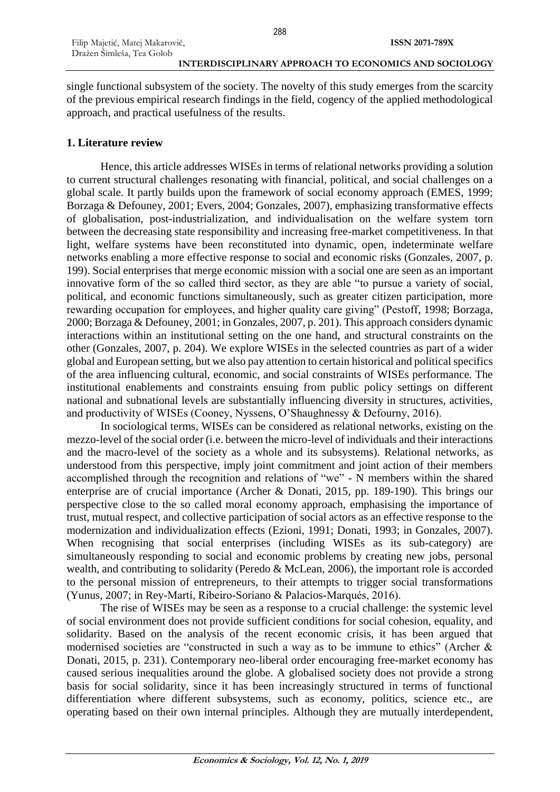single functional subsystem of the society. The novelty of this study emerges from the scarcity of the previous empirical research findings in the field, cogency of the applied methodological approach, and practical usefulness of the results.

# **1. Literature review**

Hence, this article addresses WISEs in terms of relational networks providing a solution to current structural challenges resonating with financial, political, and social challenges on a global scale. It partly builds upon the framework of social economy approach (EMES, 1999; Borzaga & Defouney, 2001; Evers, 2004; Gonzales, 2007), emphasizing transformative effects of globalisation, post-industrialization, and individualisation on the welfare system torn between the decreasing state responsibility and increasing free-market competitiveness. In that light, welfare systems have been reconstituted into dynamic, open, indeterminate welfare networks enabling a more effective response to social and economic risks (Gonzales, 2007, p. 199). Social enterprises that merge economic mission with a social one are seen as an important innovative form of the so called third sector, as they are able "to pursue a variety of social, political, and economic functions simultaneously, such as greater citizen participation, more rewarding occupation for employees, and higher quality care giving" (Pestoff, 1998; Borzaga, 2000; Borzaga & Defouney, 2001; in Gonzales, 2007, p. 201). This approach considers dynamic interactions within an institutional setting on the one hand, and structural constraints on the other (Gonzales, 2007, p. 204). We explore WISEs in the selected countries as part of a wider global and European setting, but we also pay attention to certain historical and political specifics of the area influencing cultural, economic, and social constraints of WISEs performance. The institutional enablements and constraints ensuing from public policy settings on different national and subnational levels are substantially influencing diversity in structures, activities, and productivity of WISEs (Cooney, Nyssens, O'Shaughnessy & Defourny, 2016).

In sociological terms, WISEs can be considered as relational networks, existing on the mezzo-level of the social order (i.e. between the micro-level of individuals and their interactions and the macro-level of the society as a whole and its subsystems). Relational networks, as understood from this perspective, imply joint commitment and joint action of their members accomplished through the recognition and relations of "we" - N members within the shared enterprise are of crucial importance (Archer & Donati, 2015, pp. 189-190). This brings our perspective close to the so called moral economy approach, emphasising the importance of trust, mutual respect, and collective participation of social actors as an effective response to the modernization and individualization effects (Ezioni, 1991; Donati, 1993; in Gonzales, 2007). When recognising that social enterprises (including WISEs as its sub-category) are simultaneously responding to social and economic problems by creating new jobs, personal wealth, and contributing to solidarity (Peredo & McLean, 2006), the important role is accorded to the personal mission of entrepreneurs, to their attempts to trigger social transformations (Yunus, 2007; in Rey-Martí, Ribeiro-Soriano & Palacios-Marqués, 2016).

The rise of WISEs may be seen as a response to a crucial challenge: the systemic level of social environment does not provide sufficient conditions for social cohesion, equality, and solidarity. Based on the analysis of the recent economic crisis, it has been argued that modernised societies are "constructed in such a way as to be immune to ethics" (Archer & Donati, 2015, p. 231). Contemporary neo-liberal order encouraging free-market economy has caused serious inequalities around the globe. A globalised society does not provide a strong basis for social solidarity, since it has been increasingly structured in terms of functional differentiation where different subsystems, such as economy, politics, science etc., are operating based on their own internal principles. Although they are mutually interdependent,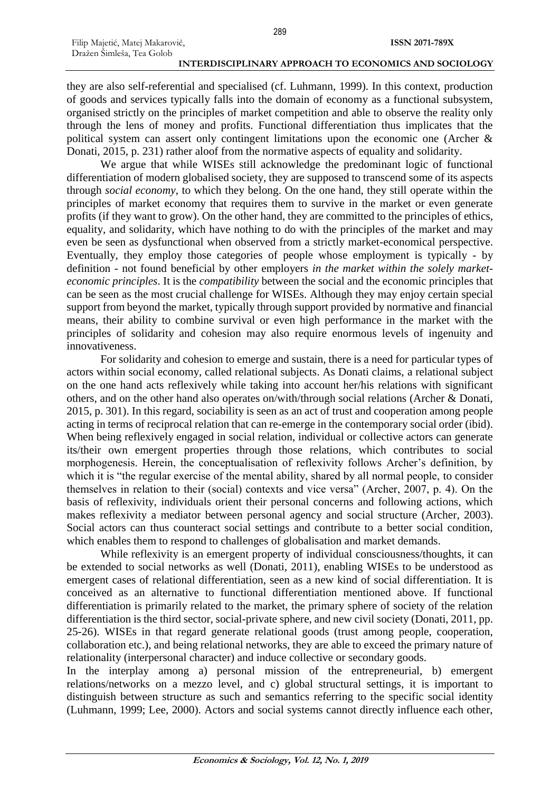they are also self-referential and specialised (cf. Luhmann, 1999). In this context, production of goods and services typically falls into the domain of economy as a functional subsystem, organised strictly on the principles of market competition and able to observe the reality only through the lens of money and profits. Functional differentiation thus implicates that the political system can assert only contingent limitations upon the economic one (Archer & Donati, 2015, p. 231) rather aloof from the normative aspects of equality and solidarity.

We argue that while WISEs still acknowledge the predominant logic of functional differentiation of modern globalised society, they are supposed to transcend some of its aspects through *social economy*, to which they belong. On the one hand, they still operate within the principles of market economy that requires them to survive in the market or even generate profits (if they want to grow). On the other hand, they are committed to the principles of ethics, equality, and solidarity, which have nothing to do with the principles of the market and may even be seen as dysfunctional when observed from a strictly market-economical perspective. Eventually, they employ those categories of people whose employment is typically - by definition - not found beneficial by other employers *in the market within the solely marketeconomic principles*. It is the *compatibility* between the social and the economic principles that can be seen as the most crucial challenge for WISEs. Although they may enjoy certain special support from beyond the market, typically through support provided by normative and financial means, their ability to combine survival or even high performance in the market with the principles of solidarity and cohesion may also require enormous levels of ingenuity and innovativeness.

For solidarity and cohesion to emerge and sustain, there is a need for particular types of actors within social economy, called relational subjects. As Donati claims, a relational subject on the one hand acts reflexively while taking into account her/his relations with significant others, and on the other hand also operates on/with/through social relations (Archer & Donati, 2015, p. 301). In this regard, sociability is seen as an act of trust and cooperation among people acting in terms of reciprocal relation that can re-emerge in the contemporary social order (ibid). When being reflexively engaged in social relation, individual or collective actors can generate its/their own emergent properties through those relations, which contributes to social morphogenesis. Herein, the conceptualisation of reflexivity follows Archer's definition, by which it is "the regular exercise of the mental ability, shared by all normal people, to consider themselves in relation to their (social) contexts and vice versa" (Archer, 2007, p. 4). On the basis of reflexivity, individuals orient their personal concerns and following actions, which makes reflexivity a mediator between personal agency and social structure (Archer, 2003). Social actors can thus counteract social settings and contribute to a better social condition, which enables them to respond to challenges of globalisation and market demands.

While reflexivity is an emergent property of individual consciousness/thoughts, it can be extended to social networks as well (Donati, 2011), enabling WISEs to be understood as emergent cases of relational differentiation, seen as a new kind of social differentiation. It is conceived as an alternative to functional differentiation mentioned above. If functional differentiation is primarily related to the market, the primary sphere of society of the relation differentiation is the third sector, social-private sphere, and new civil society (Donati, 2011, pp. 25-26). WISEs in that regard generate relational goods (trust among people, cooperation, collaboration etc.), and being relational networks, they are able to exceed the primary nature of relationality (interpersonal character) and induce collective or secondary goods.

In the interplay among a) personal mission of the entrepreneurial, b) emergent relations/networks on a mezzo level, and c) global structural settings, it is important to distinguish between structure as such and semantics referring to the specific social identity (Luhmann, 1999; Lee, 2000). Actors and social systems cannot directly influence each other,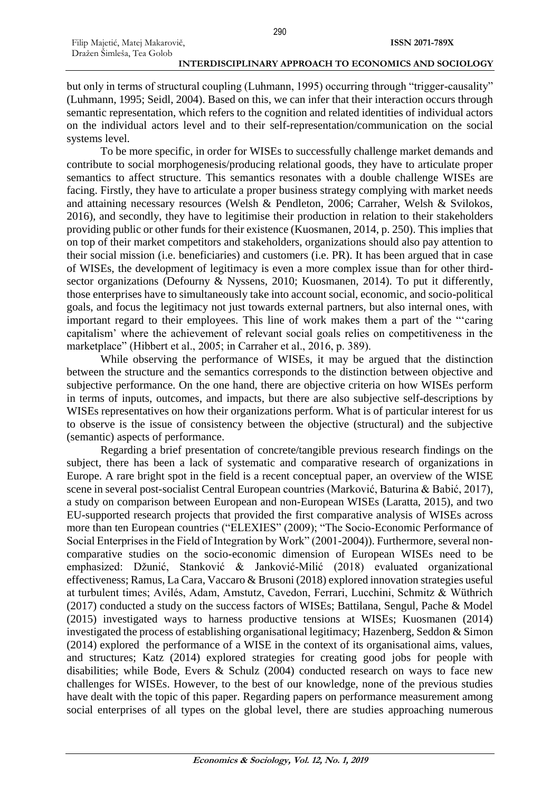but only in terms of structural coupling (Luhmann, 1995) occurring through "trigger-causality" (Luhmann, 1995; Seidl, 2004). Based on this, we can infer that their interaction occurs through semantic representation, which refers to the cognition and related identities of individual actors on the individual actors level and to their self-representation/communication on the social systems level.

To be more specific, in order for WISEs to successfully challenge market demands and contribute to social morphogenesis/producing relational goods, they have to articulate proper semantics to affect structure. This semantics resonates with a double challenge WISEs are facing. Firstly, they have to articulate a proper business strategy complying with market needs and attaining necessary resources (Welsh & Pendleton, 2006; Carraher, Welsh & Svilokos, 2016), and secondly, they have to legitimise their production in relation to their stakeholders providing public or other funds for their existence (Kuosmanen, 2014, p. 250). This implies that on top of their market competitors and stakeholders, organizations should also pay attention to their social mission (i.e. beneficiaries) and customers (i.e. PR). It has been argued that in case of WISEs, the development of legitimacy is even a more complex issue than for other thirdsector organizations (Defourny & Nyssens, 2010; Kuosmanen, 2014). To put it differently, those enterprises have to simultaneously take into account social, economic, and socio-political goals, and focus the legitimacy not just towards external partners, but also internal ones, with important regard to their employees. This line of work makes them a part of the "'caring capitalism' where the achievement of relevant social goals relies on competitiveness in the marketplace" (Hibbert et al., 2005; in Carraher et al., 2016, p. 389).

While observing the performance of WISEs, it may be argued that the distinction between the structure and the semantics corresponds to the distinction between objective and subjective performance. On the one hand, there are objective criteria on how WISEs perform in terms of inputs, outcomes, and impacts, but there are also subjective self-descriptions by WISEs representatives on how their organizations perform. What is of particular interest for us to observe is the issue of consistency between the objective (structural) and the subjective (semantic) aspects of performance.

Regarding a brief presentation of concrete/tangible previous research findings on the subject, there has been a lack of systematic and comparative research of organizations in Europe. A rare bright spot in the field is a recent conceptual paper, an overview of the WISE scene in several post-socialist Central European countries (Marković, Baturina & Babić, 2017), a study on comparison between European and non-European WISEs (Laratta, 2015), and two EU-supported research projects that provided the first comparative analysis of WISEs across more than ten European countries ("ELEXIES" (2009); "The Socio-Economic Performance of Social Enterprises in the Field of Integration by Work" (2001-2004)). Furthermore, several noncomparative studies on the socio-economic dimension of European WISEs need to be emphasized: Džunić, Stanković & Janković-Milić (2018) evaluated organizational effectiveness; Ramus, La Cara, Vaccaro & Brusoni (2018) explored innovation strategies useful at turbulent times; Avilés, Adam, Amstutz, Cavedon, Ferrari, Lucchini, Schmitz & Wüthrich (2017) conducted a study on the success factors of WISEs; Battilana, Sengul, Pache & Model (2015) investigated ways to harness productive tensions at WISEs; Kuosmanen (2014) investigated the process of establishing organisational legitimacy; Hazenberg, Seddon & Simon (2014) explored the performance of a WISE in the context of its organisational aims, values, and structures; Katz (2014) explored strategies for creating good jobs for people with disabilities; while Bode, Evers & Schulz (2004) conducted research on ways to face new challenges for WISEs. However, to the best of our knowledge, none of the previous studies have dealt with the topic of this paper. Regarding papers on performance measurement among social enterprises of all types on the global level, there are studies approaching numerous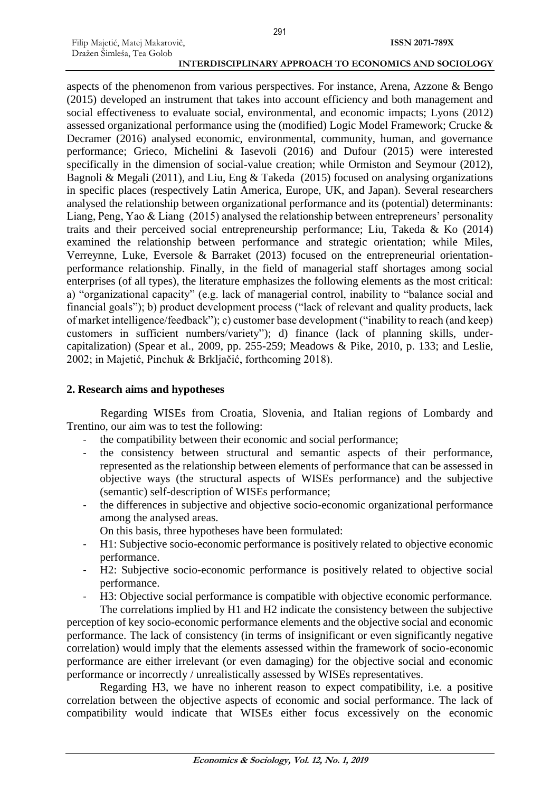aspects of the phenomenon from various perspectives. For instance, Arena, Azzone & Bengo (2015) developed an instrument that takes into account efficiency and both management and social effectiveness to evaluate social, environmental, and economic impacts; Lyons (2012) assessed organizational performance using the (modified) Logic Model Framework; Crucke & Decramer (2016) analysed economic, environmental, community, human, and governance performance; Grieco, Michelini & Iasevoli (2016) and Dufour (2015) were interested specifically in the dimension of social-value creation; while Ormiston and Seymour (2012), Bagnoli & Megali (2011), and Liu, Eng & Takeda (2015) focused on analysing organizations in specific places (respectively Latin America, Europe, UK, and Japan). Several researchers analysed the relationship between organizational performance and its (potential) determinants: Liang, Peng, Yao & Liang (2015) analysed the relationship between entrepreneurs' personality traits and their perceived social entrepreneurship performance; Liu, Takeda & Ko (2014) examined the relationship between performance and strategic orientation; while Miles, Verreynne, Luke, Eversole & Barraket (2013) focused on the entrepreneurial orientationperformance relationship. Finally, in the field of managerial staff shortages among social enterprises (of all types), the literature emphasizes the following elements as the most critical: a) "organizational capacity" (e.g. lack of managerial control, inability to "balance social and financial goals"); b) product development process ("lack of relevant and quality products, lack of market intelligence/feedback"); c) customer base development ("inability to reach (and keep) customers in sufficient numbers/variety"); d) finance (lack of planning skills, undercapitalization) (Spear et al., 2009, pp. 255-259; Meadows & Pike, 2010, p. 133; and Leslie, 2002; in Majetić, Pinchuk & Brkljačić, forthcoming 2018).

### **2. Research aims and hypotheses**

Filip Majetić, Matej Makarovič, Dražen Šimleša, Tea Golob

Regarding WISEs from Croatia, Slovenia, and Italian regions of Lombardy and Trentino, our aim was to test the following:

- the compatibility between their economic and social performance:
- the consistency between structural and semantic aspects of their performance, represented as the relationship between elements of performance that can be assessed in objective ways (the structural aspects of WISEs performance) and the subjective (semantic) self-description of WISEs performance;
- the differences in subjective and objective socio-economic organizational performance among the analysed areas.
	- On this basis, three hypotheses have been formulated:
- H1: Subjective socio-economic performance is positively related to objective economic performance.
- H2: Subjective socio-economic performance is positively related to objective social performance.
- H3: Objective social performance is compatible with objective economic performance. The correlations implied by H1 and H2 indicate the consistency between the subjective

perception of key socio-economic performance elements and the objective social and economic performance. The lack of consistency (in terms of insignificant or even significantly negative correlation) would imply that the elements assessed within the framework of socio-economic performance are either irrelevant (or even damaging) for the objective social and economic performance or incorrectly / unrealistically assessed by WISEs representatives.

Regarding H3, we have no inherent reason to expect compatibility, i.e. a positive correlation between the objective aspects of economic and social performance. The lack of compatibility would indicate that WISEs either focus excessively on the economic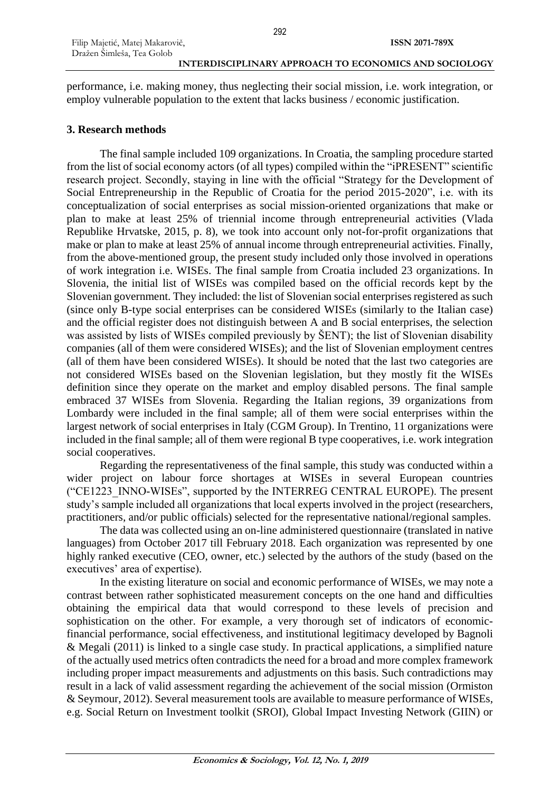292

performance, i.e. making money, thus neglecting their social mission, i.e. work integration, or employ vulnerable population to the extent that lacks business / economic justification.

# **3. Research methods**

The final sample included 109 organizations. In Croatia, the sampling procedure started from the list of social economy actors (of all types) compiled within the "iPRESENT" scientific research project. Secondly, staying in line with the official "Strategy for the Development of Social Entrepreneurship in the Republic of Croatia for the period 2015-2020", i.e. with its conceptualization of social enterprises as social mission-oriented organizations that make or plan to make at least 25% of triennial income through entrepreneurial activities (Vlada Republike Hrvatske, 2015, p. 8), we took into account only not-for-profit organizations that make or plan to make at least 25% of annual income through entrepreneurial activities. Finally, from the above-mentioned group, the present study included only those involved in operations of work integration i.e. WISEs. The final sample from Croatia included 23 organizations. In Slovenia, the initial list of WISEs was compiled based on the official records kept by the Slovenian government. They included: the list of Slovenian social enterprises registered as such (since only B-type social enterprises can be considered WISEs (similarly to the Italian case) and the official register does not distinguish between A and B social enterprises, the selection was assisted by lists of WISEs compiled previously by ŠENT); the list of Slovenian disability companies (all of them were considered WISEs); and the list of Slovenian employment centres (all of them have been considered WISEs). It should be noted that the last two categories are not considered WISEs based on the Slovenian legislation, but they mostly fit the WISEs definition since they operate on the market and employ disabled persons. The final sample embraced 37 WISEs from Slovenia. Regarding the Italian regions, 39 organizations from Lombardy were included in the final sample; all of them were social enterprises within the largest network of social enterprises in Italy (CGM Group). In Trentino, 11 organizations were included in the final sample; all of them were regional B type cooperatives, i.e. work integration social cooperatives.

Regarding the representativeness of the final sample, this study was conducted within a wider project on labour force shortages at WISEs in several European countries ("CE1223\_INNO-WISEs", supported by the INTERREG CENTRAL EUROPE). The present study's sample included all organizations that local experts involved in the project (researchers, practitioners, and/or public officials) selected for the representative national/regional samples.

The data was collected using an on-line administered questionnaire (translated in native languages) from October 2017 till February 2018. Each organization was represented by one highly ranked executive (CEO, owner, etc.) selected by the authors of the study (based on the executives' area of expertise).

In the existing literature on social and economic performance of WISEs, we may note a contrast between rather sophisticated measurement concepts on the one hand and difficulties obtaining the empirical data that would correspond to these levels of precision and sophistication on the other. For example, a very thorough set of indicators of economicfinancial performance, social effectiveness, and institutional legitimacy developed by Bagnoli & Megali (2011) is linked to a single case study. In practical applications, a simplified nature of the actually used metrics often contradicts the need for a broad and more complex framework including proper impact measurements and adjustments on this basis. Such contradictions may result in a lack of valid assessment regarding the achievement of the social mission (Ormiston & Seymour, 2012). Several measurement tools are available to measure performance of WISEs, e.g. Social Return on Investment toolkit (SROI), Global Impact Investing Network (GIIN) or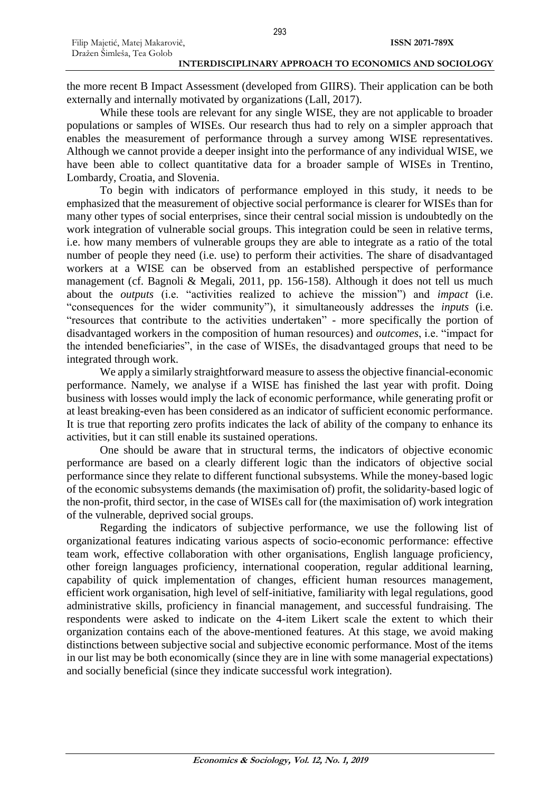the more recent B Impact Assessment (developed from GIIRS). Their application can be both externally and internally motivated by organizations (Lall, 2017).

While these tools are relevant for any single WISE, they are not applicable to broader populations or samples of WISEs. Our research thus had to rely on a simpler approach that enables the measurement of performance through a survey among WISE representatives. Although we cannot provide a deeper insight into the performance of any individual WISE, we have been able to collect quantitative data for a broader sample of WISEs in Trentino, Lombardy, Croatia, and Slovenia.

To begin with indicators of performance employed in this study, it needs to be emphasized that the measurement of objective social performance is clearer for WISEs than for many other types of social enterprises, since their central social mission is undoubtedly on the work integration of vulnerable social groups. This integration could be seen in relative terms, i.e. how many members of vulnerable groups they are able to integrate as a ratio of the total number of people they need (i.e. use) to perform their activities. The share of disadvantaged workers at a WISE can be observed from an established perspective of performance management (cf. Bagnoli & Megali, 2011, pp. 156-158). Although it does not tell us much about the *outputs* (i.e. "activities realized to achieve the mission") and *impact* (i.e. "consequences for the wider community"), it simultaneously addresses the *inputs* (i.e. "resources that contribute to the activities undertaken" - more specifically the portion of disadvantaged workers in the composition of human resources) and *outcomes*, i.e. "impact for the intended beneficiaries", in the case of WISEs, the disadvantaged groups that need to be integrated through work.

We apply a similarly straightforward measure to assess the objective financial-economic performance. Namely, we analyse if a WISE has finished the last year with profit. Doing business with losses would imply the lack of economic performance, while generating profit or at least breaking-even has been considered as an indicator of sufficient economic performance. It is true that reporting zero profits indicates the lack of ability of the company to enhance its activities, but it can still enable its sustained operations.

One should be aware that in structural terms, the indicators of objective economic performance are based on a clearly different logic than the indicators of objective social performance since they relate to different functional subsystems. While the money-based logic of the economic subsystems demands (the maximisation of) profit, the solidarity-based logic of the non-profit, third sector, in the case of WISEs call for (the maximisation of) work integration of the vulnerable, deprived social groups.

Regarding the indicators of subjective performance, we use the following list of organizational features indicating various aspects of socio-economic performance: effective team work, effective collaboration with other organisations, English language proficiency, other foreign languages proficiency, international cooperation, regular additional learning, capability of quick implementation of changes, efficient human resources management, efficient work organisation, high level of self-initiative, familiarity with legal regulations, good administrative skills, proficiency in financial management, and successful fundraising. The respondents were asked to indicate on the 4-item Likert scale the extent to which their organization contains each of the above-mentioned features. At this stage, we avoid making distinctions between subjective social and subjective economic performance. Most of the items in our list may be both economically (since they are in line with some managerial expectations) and socially beneficial (since they indicate successful work integration).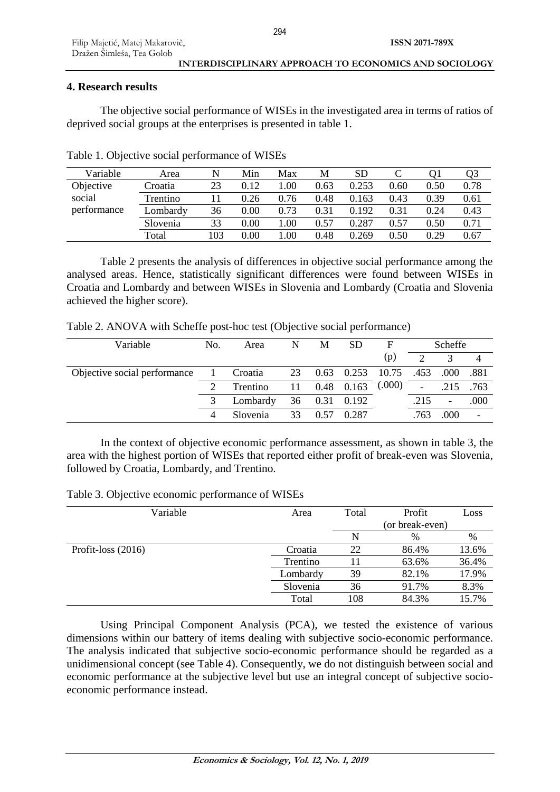# **4. Research results**

The objective social performance of WISEs in the investigated area in terms of ratios of deprived social groups at the enterprises is presented in table 1.

| Variable    | Area     | N   | Min  | Max  | М    | <b>SD</b> |      |      | Q3   |
|-------------|----------|-----|------|------|------|-----------|------|------|------|
| Objective   | Croatia  | 23  | 0.12 | .00  | 0.63 | 0.253     | 0.60 | 0.50 | 0.78 |
| social      | Trentino | 11  | 0.26 | 0.76 | 0.48 | 163<br>0. | 0.43 | 0.39 | 0.61 |
| performance | Lombardy | 36  | 0.00 | 0.73 | 0.31 | 0.192     | 0.31 | 0.24 | 0.43 |
|             | Slovenia | 33  | 0.00 | .00  | 0.57 | 0.287     | 0.57 | 0.50 | 0.71 |
|             | Total    | 103 | 0.00 | .00  | 0.48 | 0.269     | 0.50 | 0.29 | 0.67 |

Table 1. Objective social performance of WISEs

Table 2 presents the analysis of differences in objective social performance among the analysed areas. Hence, statistically significant differences were found between WISEs in Croatia and Lombardy and between WISEs in Slovenia and Lombardy (Croatia and Slovenia achieved the higher score).

Table 2. ANOVA with Scheffe post-hoc test (Objective social performance)

| Variable                     | No.<br>Area |          | N  | М    | SD    | F      |                          | Scheffe |      |
|------------------------------|-------------|----------|----|------|-------|--------|--------------------------|---------|------|
|                              |             |          |    |      |       | (p)    | $\mathcal{D}$            |         |      |
| Objective social performance |             | Croatia  | 23 | 0.63 | 0.253 | 10.75  | .453                     | .000    | .881 |
|                              |             | Trentino |    | 0.48 | 0.163 | (.000) | $\overline{\phantom{a}}$ | .215    | .763 |
|                              |             | Lombardy | 36 | 0.31 | 0.192 |        | .215                     | -       | .000 |
|                              |             | Slovenia | 33 |      | 0.287 |        | .763                     | .000    |      |

In the context of objective economic performance assessment, as shown in table 3, the area with the highest portion of WISEs that reported either profit of break-even was Slovenia, followed by Croatia, Lombardy, and Trentino.

| Table 3. Objective economic performance of WISEs |
|--------------------------------------------------|
|--------------------------------------------------|

| Variable             | Area     | Total           | Profit | Loss  |  |  |
|----------------------|----------|-----------------|--------|-------|--|--|
|                      |          | (or break-even) |        |       |  |  |
|                      |          | N               | $\%$   | %     |  |  |
| Profit-loss $(2016)$ | Croatia  | 22              | 86.4%  | 13.6% |  |  |
|                      | Trentino |                 | 63.6%  | 36.4% |  |  |
|                      | Lombardy | 39              | 82.1%  | 17.9% |  |  |
|                      | Slovenia | 36              | 91.7%  | 8.3%  |  |  |
|                      | Total    | 108             | 84.3%  | 15.7% |  |  |

Using Principal Component Analysis (PCA), we tested the existence of various dimensions within our battery of items dealing with subjective socio-economic performance. The analysis indicated that subjective socio-economic performance should be regarded as a unidimensional concept (see Table 4). Consequently, we do not distinguish between social and economic performance at the subjective level but use an integral concept of subjective socioeconomic performance instead.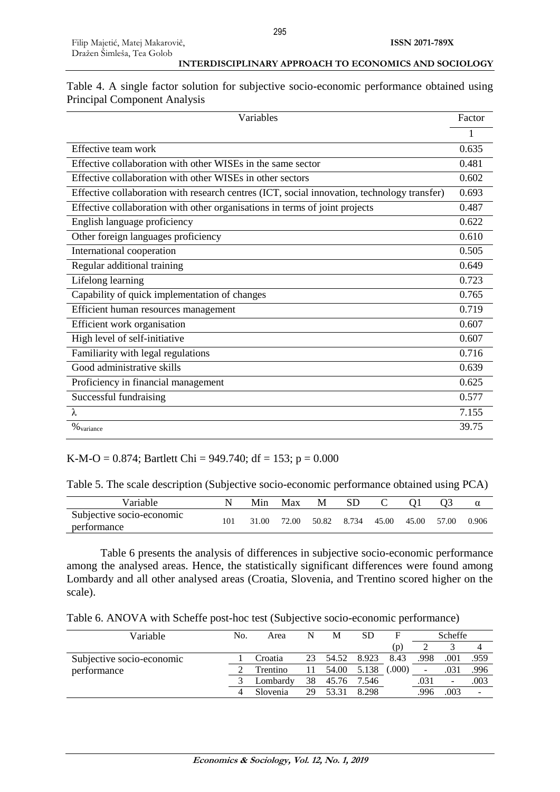| Table 4. A single factor solution for subjective socio-economic performance obtained using |  |  |  |
|--------------------------------------------------------------------------------------------|--|--|--|
| <b>Principal Component Analysis</b>                                                        |  |  |  |

| Variables                                                                                   | Factor |
|---------------------------------------------------------------------------------------------|--------|
|                                                                                             |        |
| Effective team work                                                                         | 0.635  |
| Effective collaboration with other WISEs in the same sector                                 | 0.481  |
| Effective collaboration with other WISEs in other sectors                                   | 0.602  |
| Effective collaboration with research centres (ICT, social innovation, technology transfer) | 0.693  |
| Effective collaboration with other organisations in terms of joint projects                 | 0.487  |
| English language proficiency                                                                | 0.622  |
| Other foreign languages proficiency                                                         | 0.610  |
| International cooperation                                                                   | 0.505  |
| Regular additional training                                                                 | 0.649  |
| Lifelong learning                                                                           | 0.723  |
| Capability of quick implementation of changes                                               | 0.765  |
| Efficient human resources management                                                        | 0.719  |
| Efficient work organisation                                                                 | 0.607  |
| High level of self-initiative                                                               | 0.607  |
| Familiarity with legal regulations                                                          | 0.716  |
| Good administrative skills                                                                  | 0.639  |
| Proficiency in financial management                                                         | 0.625  |
| Successful fundraising                                                                      | 0.577  |
| $\lambda$                                                                                   | 7.155  |
| $\%$ variance                                                                               | 39.75  |

### K-M-O = 0.874; Bartlett Chi = 949.740; df = 153; p = 0.000

Table 5. The scale description (Subjective socio-economic performance obtained using PCA)

| Variable                                 | Min   | Max   | М     | <b>SD</b> |             |       | α     |
|------------------------------------------|-------|-------|-------|-----------|-------------|-------|-------|
| Subjective socio-economic<br>performance | 31.00 | 72.00 | 50.82 | 8.734     | 45.00 45.00 | 57.00 | 0.906 |

Table 6 presents the analysis of differences in subjective socio-economic performance among the analysed areas. Hence, the statistically significant differences were found among Lombardy and all other analysed areas (Croatia, Slovenia, and Trentino scored higher on the scale).

Table 6. ANOVA with Scheffe post-hoc test (Subjective socio-economic performance)

| Variable                  |   | Area     | N  | M     | SD    |       |                          | Scheffe                  |      |
|---------------------------|---|----------|----|-------|-------|-------|--------------------------|--------------------------|------|
|                           |   |          |    |       |       | (p)   |                          |                          |      |
| Subjective socio-economic |   | Croatia  | 23 | 54.52 | 8.923 | 8.43  | .998                     | .001                     | .959 |
| performance               |   | Trentino |    | 54.00 | 5.138 | (000) | $\overline{\phantom{0}}$ | .031                     | .996 |
|                           |   | Lombardy | 38 | 45.76 | 7.546 |       | .031                     | $\overline{\phantom{a}}$ | .003 |
|                           | 4 | Slovenia | 29 | 53 31 | 8.298 |       | .996                     | .003                     | -    |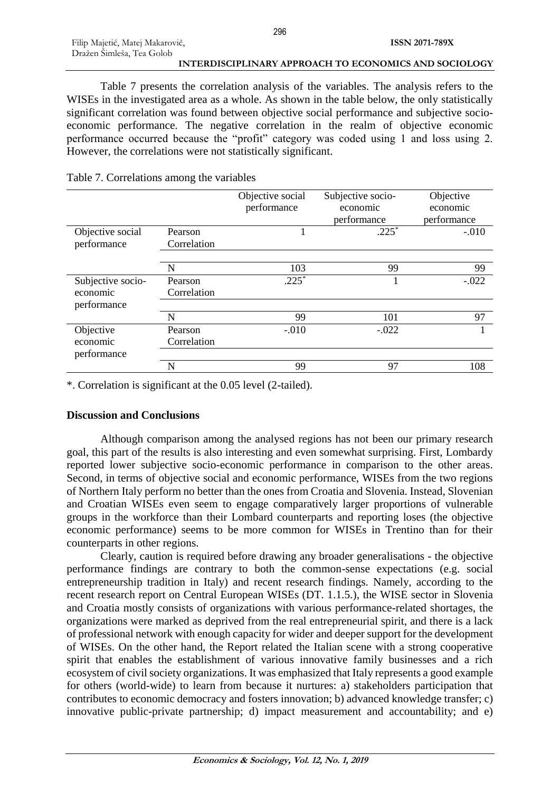Table 7 presents the correlation analysis of the variables. The analysis refers to the WISEs in the investigated area as a whole. As shown in the table below, the only statistically significant correlation was found between objective social performance and subjective socioeconomic performance. The negative correlation in the realm of objective economic performance occurred because the "profit" category was coded using 1 and loss using 2. However, the correlations were not statistically significant.

|                   |             | Objective social | Subjective socio- | Objective   |
|-------------------|-------------|------------------|-------------------|-------------|
|                   |             | performance      | economic          | economic    |
|                   |             |                  | performance       | performance |
| Objective social  | Pearson     |                  | $.225*$           | $-.010$     |
| performance       | Correlation |                  |                   |             |
|                   |             |                  |                   |             |
|                   | N           | 103              | 99                | 99          |
| Subjective socio- | Pearson     | $.225*$          |                   | $-.022$     |
| economic          | Correlation |                  |                   |             |
| performance       |             |                  |                   |             |
|                   | N           | 99               | 101               | 97          |
| Objective         | Pearson     | $-.010$          | $-.022$           |             |
| economic          | Correlation |                  |                   |             |
| performance       |             |                  |                   |             |
|                   | N           | 99               | 97                | 108         |

## Table 7. Correlations among the variables

\*. Correlation is significant at the 0.05 level (2-tailed).

# **Discussion and Conclusions**

Although comparison among the analysed regions has not been our primary research goal, this part of the results is also interesting and even somewhat surprising. First, Lombardy reported lower subjective socio-economic performance in comparison to the other areas. Second, in terms of objective social and economic performance, WISEs from the two regions of Northern Italy perform no better than the ones from Croatia and Slovenia. Instead, Slovenian and Croatian WISEs even seem to engage comparatively larger proportions of vulnerable groups in the workforce than their Lombard counterparts and reporting loses (the objective economic performance) seems to be more common for WISEs in Trentino than for their counterparts in other regions.

Clearly, caution is required before drawing any broader generalisations - the objective performance findings are contrary to both the common-sense expectations (e.g. social entrepreneurship tradition in Italy) and recent research findings. Namely, according to the recent research report on Central European WISEs (DT. 1.1.5.), the WISE sector in Slovenia and Croatia mostly consists of organizations with various performance-related shortages, the organizations were marked as deprived from the real entrepreneurial spirit, and there is a lack of professional network with enough capacity for wider and deeper support for the development of WISEs. On the other hand, the Report related the Italian scene with a strong cooperative spirit that enables the establishment of various innovative family businesses and a rich ecosystem of civil society organizations. It was emphasized that Italy represents a good example for others (world-wide) to learn from because it nurtures: a) stakeholders participation that contributes to economic democracy and fosters innovation; b) advanced knowledge transfer; c) innovative public-private partnership; d) impact measurement and accountability; and e)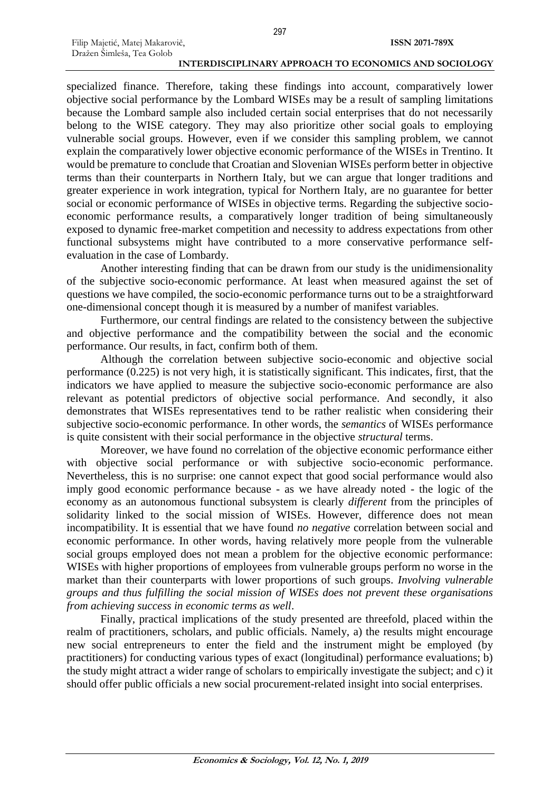Filip Majetić, Matej Makarovič, Dražen Šimleša, Tea Golob

specialized finance. Therefore, taking these findings into account, comparatively lower objective social performance by the Lombard WISEs may be a result of sampling limitations because the Lombard sample also included certain social enterprises that do not necessarily belong to the WISE category. They may also prioritize other social goals to employing vulnerable social groups. However, even if we consider this sampling problem, we cannot explain the comparatively lower objective economic performance of the WISEs in Trentino. It would be premature to conclude that Croatian and Slovenian WISEs perform better in objective terms than their counterparts in Northern Italy, but we can argue that longer traditions and greater experience in work integration, typical for Northern Italy, are no guarantee for better social or economic performance of WISEs in objective terms. Regarding the subjective socioeconomic performance results, a comparatively longer tradition of being simultaneously exposed to dynamic free-market competition and necessity to address expectations from other functional subsystems might have contributed to a more conservative performance selfevaluation in the case of Lombardy.

Another interesting finding that can be drawn from our study is the unidimensionality of the subjective socio-economic performance. At least when measured against the set of questions we have compiled, the socio-economic performance turns out to be a straightforward one-dimensional concept though it is measured by a number of manifest variables.

Furthermore, our central findings are related to the consistency between the subjective and objective performance and the compatibility between the social and the economic performance. Our results, in fact, confirm both of them.

Although the correlation between subjective socio-economic and objective social performance (0.225) is not very high, it is statistically significant. This indicates, first, that the indicators we have applied to measure the subjective socio-economic performance are also relevant as potential predictors of objective social performance. And secondly, it also demonstrates that WISEs representatives tend to be rather realistic when considering their subjective socio-economic performance. In other words, the *semantics* of WISEs performance is quite consistent with their social performance in the objective *structural* terms.

Moreover, we have found no correlation of the objective economic performance either with objective social performance or with subjective socio-economic performance. Nevertheless, this is no surprise: one cannot expect that good social performance would also imply good economic performance because - as we have already noted - the logic of the economy as an autonomous functional subsystem is clearly *different* from the principles of solidarity linked to the social mission of WISEs. However, difference does not mean incompatibility. It is essential that we have found *no negative* correlation between social and economic performance. In other words, having relatively more people from the vulnerable social groups employed does not mean a problem for the objective economic performance: WISEs with higher proportions of employees from vulnerable groups perform no worse in the market than their counterparts with lower proportions of such groups. *Involving vulnerable groups and thus fulfilling the social mission of WISEs does not prevent these organisations from achieving success in economic terms as well*.

Finally, practical implications of the study presented are threefold, placed within the realm of practitioners, scholars, and public officials. Namely, a) the results might encourage new social entrepreneurs to enter the field and the instrument might be employed (by practitioners) for conducting various types of exact (longitudinal) performance evaluations; b) the study might attract a wider range of scholars to empirically investigate the subject; and c) it should offer public officials a new social procurement-related insight into social enterprises.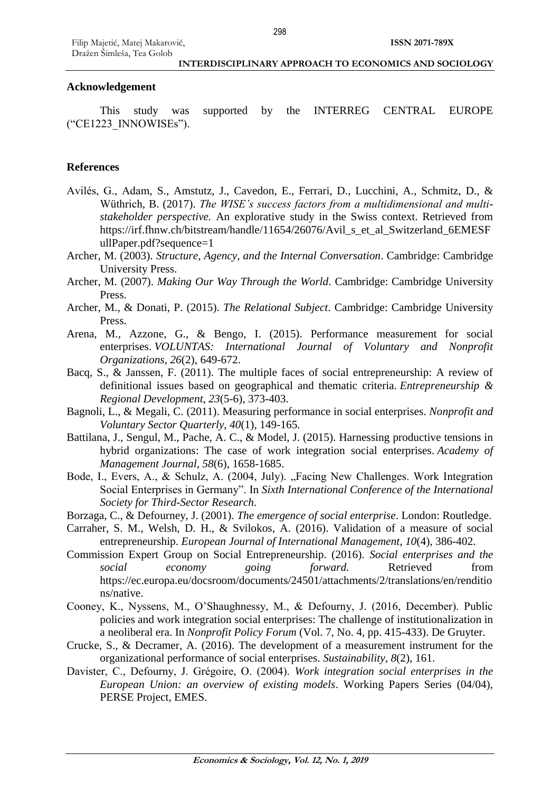# **Acknowledgement**

This study was supported by the INTERREG CENTRAL EUROPE ("CE1223\_INNOWISEs").

# **References**

- Avilés, G., Adam, S., Amstutz, J., Cavedon, E., Ferrari, D., Lucchini, A., Schmitz, D., & Wüthrich, B. (2017). *The WISE's success factors from a multidimensional and multistakeholder perspective.* An explorative study in the Swiss context. Retrieved from https://irf.fhnw.ch/bitstream/handle/11654/26076/Avil\_s\_et\_al\_Switzerland\_6EMESF ullPaper.pdf?sequence=1
- Archer, M. (2003). *Structure, Agency, and the Internal Conversation*. Cambridge: Cambridge University Press.
- Archer, M. (2007). *Making Our Way Through the World*. Cambridge: Cambridge University Press.
- Archer, M., & Donati, P. (2015). *The Relational Subject*. Cambridge: Cambridge University Press.
- Arena, M., Azzone, G., & Bengo, I. (2015). Performance measurement for social enterprises. *VOLUNTAS: International Journal of Voluntary and Nonprofit Organizations*, *26*(2), 649-672.
- Bacq, S., & Janssen, F. (2011). The multiple faces of social entrepreneurship: A review of definitional issues based on geographical and thematic criteria. *Entrepreneurship & Regional Development*, *23*(5-6), 373-403.
- Bagnoli, L., & Megali, C. (2011). Measuring performance in social enterprises. *Nonprofit and Voluntary Sector Quarterly*, *40*(1), 149-165.
- Battilana, J., Sengul, M., Pache, A. C., & Model, J. (2015). Harnessing productive tensions in hybrid organizations: The case of work integration social enterprises. *Academy of Management Journal*, *58*(6), 1658-1685.
- Bode, I., Evers, A., & Schulz, A. (2004, July). "Facing New Challenges. Work Integration Social Enterprises in Germany". In *Sixth International Conference of the International Society for Third-Sector Research*.
- Borzaga, C., & Defourney, J. (2001). *The emergence of social enterprise*. London: Routledge.
- Carraher, S. M., Welsh, D. H., & Svilokos, A. (2016). Validation of a measure of social entrepreneurship. *European Journal of International Management*, *10*(4), 386-402.
- Commission Expert Group on Social Entrepreneurship. (2016). *Social enterprises and the social economy going forward.* Retrieved from https://ec.europa.eu/docsroom/documents/24501/attachments/2/translations/en/renditio ns/native.
- Cooney, K., Nyssens, M., O'Shaughnessy, M., & Defourny, J. (2016, December). Public policies and work integration social enterprises: The challenge of institutionalization in a neoliberal era. In *Nonprofit Policy Forum* (Vol. 7, No. 4, pp. 415-433). De Gruyter.
- Crucke, S., & Decramer, A. (2016). The development of a measurement instrument for the organizational performance of social enterprises. *Sustainability*, *8*(2), 161.
- Davister, C., Defourny, J. Grégoire, O. (2004). *Work integration social enterprises in the European Union: an overview of existing models*. Working Papers Series (04/04), PERSE Project, EMES.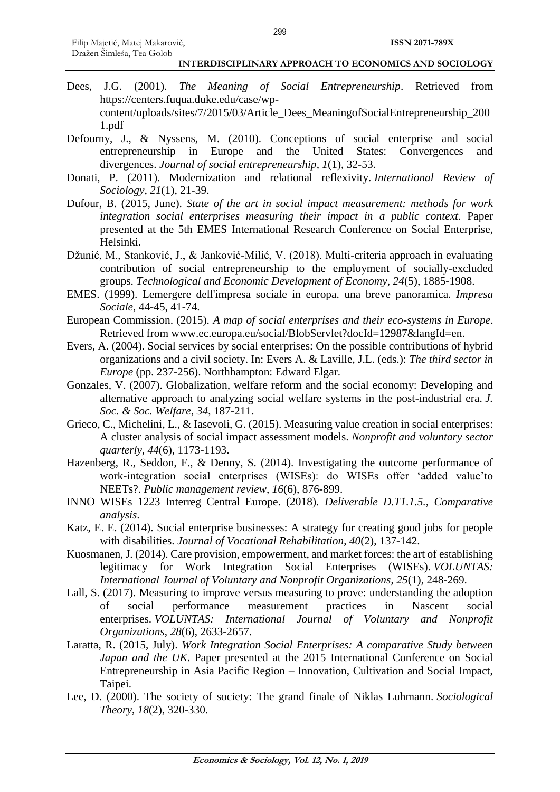- Dees, J.G. (2001). *The Meaning of Social Entrepreneurship*. Retrieved from https://centers.fuqua.duke.edu/case/wpcontent/uploads/sites/7/2015/03/Article\_Dees\_MeaningofSocialEntrepreneurship\_200 1.pdf
- Defourny, J., & Nyssens, M. (2010). Conceptions of social enterprise and social entrepreneurship in Europe and the United States: Convergences and divergences. *Journal of social entrepreneurship*, *1*(1), 32-53.
- Donati, P. (2011). Modernization and relational reflexivity. *International Review of Sociology*, *21*(1), 21-39.
- Dufour, B. (2015, June). *State of the art in social impact measurement: methods for work integration social enterprises measuring their impact in a public context*. Paper presented at the 5th EMES International Research Conference on Social Enterprise, Helsinki.
- Džunić, M., Stanković, J., & Janković-Milić, V. (2018). Multi-criteria approach in evaluating contribution of social entrepreneurship to the employment of socially-excluded groups. *Technological and Economic Development of Economy*, *24*(5), 1885-1908.
- EMES. (1999). Lemergere dell'impresa sociale in europa. una breve panoramica. *Impresa Sociale*, 44-45, 41-74.
- European Commission. (2015). *A map of social enterprises and their eco-systems in Europe*. Retrieved from www.ec.europa.eu/social/BlobServlet?docId=12987&langId=en.
- Evers, A. (2004). Social services by social enterprises: On the possible contributions of hybrid organizations and a civil society. In: Evers A. & Laville, J.L. (eds.): *The third sector in Europe* (pp. 237-256). Northhampton: Edward Elgar.
- Gonzales, V. (2007). Globalization, welfare reform and the social economy: Developing and alternative approach to analyzing social welfare systems in the post-industrial era. *J. Soc. & Soc. Welfare*, *34*, 187-211.
- Grieco, C., Michelini, L., & Iasevoli, G. (2015). Measuring value creation in social enterprises: A cluster analysis of social impact assessment models. *Nonprofit and voluntary sector quarterly*, *44*(6), 1173-1193.
- Hazenberg, R., Seddon, F., & Denny, S. (2014). Investigating the outcome performance of work-integration social enterprises (WISEs): do WISEs offer 'added value'to NEETs?. *Public management review*, *16*(6), 876-899.
- INNO WISEs 1223 Interreg Central Europe. (2018). *Deliverable D.T1.1.5., Comparative analysis*.
- Katz, E. E. (2014). Social enterprise businesses: A strategy for creating good jobs for people with disabilities. *Journal of Vocational Rehabilitation*, *40*(2), 137-142.
- Kuosmanen, J. (2014). Care provision, empowerment, and market forces: the art of establishing legitimacy for Work Integration Social Enterprises (WISEs). *VOLUNTAS: International Journal of Voluntary and Nonprofit Organizations*, *25*(1), 248-269.
- Lall, S. (2017). Measuring to improve versus measuring to prove: understanding the adoption of social performance measurement practices in Nascent social enterprises. *VOLUNTAS: International Journal of Voluntary and Nonprofit Organizations*, *28*(6), 2633-2657.
- Laratta, R. (2015, July). *Work Integration Social Enterprises: A comparative Study between Japan and the UK*. Paper presented at the 2015 International Conference on Social Entrepreneurship in Asia Pacific Region – Innovation, Cultivation and Social Impact, Taipei.
- Lee, D. (2000). The society of society: The grand finale of Niklas Luhmann. *Sociological Theory*, *18*(2), 320-330.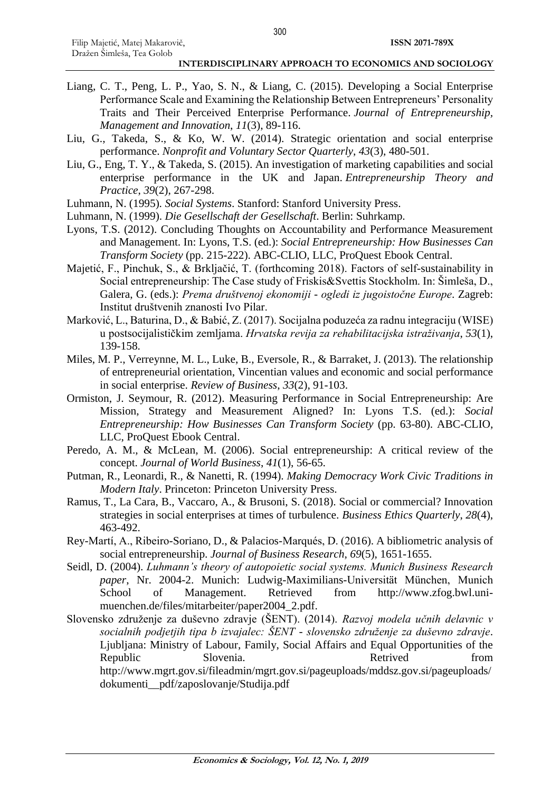- Liang, C. T., Peng, L. P., Yao, S. N., & Liang, C. (2015). Developing a Social Enterprise Performance Scale and Examining the Relationship Between Entrepreneurs' Personality Traits and Their Perceived Enterprise Performance. *Journal of Entrepreneurship, Management and Innovation*, *11*(3), 89-116.
- Liu, G., Takeda, S., & Ko, W. W. (2014). Strategic orientation and social enterprise performance. *Nonprofit and Voluntary Sector Quarterly*, *43*(3), 480-501.
- Liu, G., Eng, T. Y., & Takeda, S. (2015). An investigation of marketing capabilities and social enterprise performance in the UK and Japan. *Entrepreneurship Theory and Practice*, *39*(2), 267-298.
- Luhmann, N. (1995)*. Social Systems*. Stanford: Stanford University Press.
- Luhmann, N. (1999). *Die Gesellschaft der Gesellschaft*. Berlin: Suhrkamp.
- Lyons, T.S. (2012). Concluding Thoughts on Accountability and Performance Measurement and Management. In: Lyons, T.S. (ed.): *Social Entrepreneurship: How Businesses Can Transform Society* (pp. 215-222). ABC-CLIO, LLC, ProQuest Ebook Central.
- Majetić, F., Pinchuk, S., & Brkljačić, T. (forthcoming 2018). Factors of self-sustainability in Social entrepreneurship: The Case study of Friskis&Svettis Stockholm. In: Šimleša, D., Galera, G. (eds.): *Prema društvenoj ekonomiji - ogledi iz jugoistočne Europe*. Zagreb: Institut društvenih znanosti Ivo Pilar.
- Marković, L., Baturina, D., & Babić, Z. (2017). Socijalna poduzeća za radnu integraciju (WISE) u postsocijalističkim zemljama. *Hrvatska revija za rehabilitacijska istraživanja*, *53*(1), 139-158.
- Miles, M. P., Verreynne, M. L., Luke, B., Eversole, R., & Barraket, J. (2013). The relationship of entrepreneurial orientation, Vincentian values and economic and social performance in social enterprise. *Review of Business*, *33*(2), 91-103.
- Ormiston, J. Seymour, R. (2012). Measuring Performance in Social Entrepreneurship: Are Mission, Strategy and Measurement Aligned? In: Lyons T.S. (ed.): *Social Entrepreneurship: How Businesses Can Transform Society* (pp. 63-80). ABC-CLIO, LLC, ProQuest Ebook Central.
- Peredo, A. M., & McLean, M. (2006). Social entrepreneurship: A critical review of the concept. *Journal of World Business*, *41*(1), 56-65.
- Putman, R., Leonardi, R., & Nanetti, R. (1994). *Making Democracy Work Civic Traditions in Modern Italy*. Princeton: Princeton University Press.
- Ramus, T., La Cara, B., Vaccaro, A., & Brusoni, S. (2018). Social or commercial? Innovation strategies in social enterprises at times of turbulence. *Business Ethics Quarterly*, *28*(4), 463-492.
- Rey-Martí, A., Ribeiro-Soriano, D., & Palacios-Marqués, D. (2016). A bibliometric analysis of social entrepreneurship. *Journal of Business Research*, *69*(5), 1651-1655.
- Seidl, D. (2004). *Luhmann's theory of autopoietic social systems. Munich Business Research paper*, Nr. 2004-2. Munich: Ludwig-Maximilians-Universität München, Munich School of Management. Retrieved from http://www.zfog.bwl.unimuenchen.de/files/mitarbeiter/paper2004\_2.pdf.
- Slovensko združenje za duševno zdravje (ŠENT). (2014). *Razvoj modela učnih delavnic v socialnih podjetjih tipa b izvajalec: ŠENT - slovensko združenje za duševno zdravje*. Ljubljana: Ministry of Labour, Family, Social Affairs and Equal Opportunities of the Republic Slovenia. Slovenia. Retrived from http://www.mgrt.gov.si/fileadmin/mgrt.gov.si/pageuploads/mddsz.gov.si/pageuploads/ dokumenti\_\_pdf/zaposlovanje/Studija.pdf